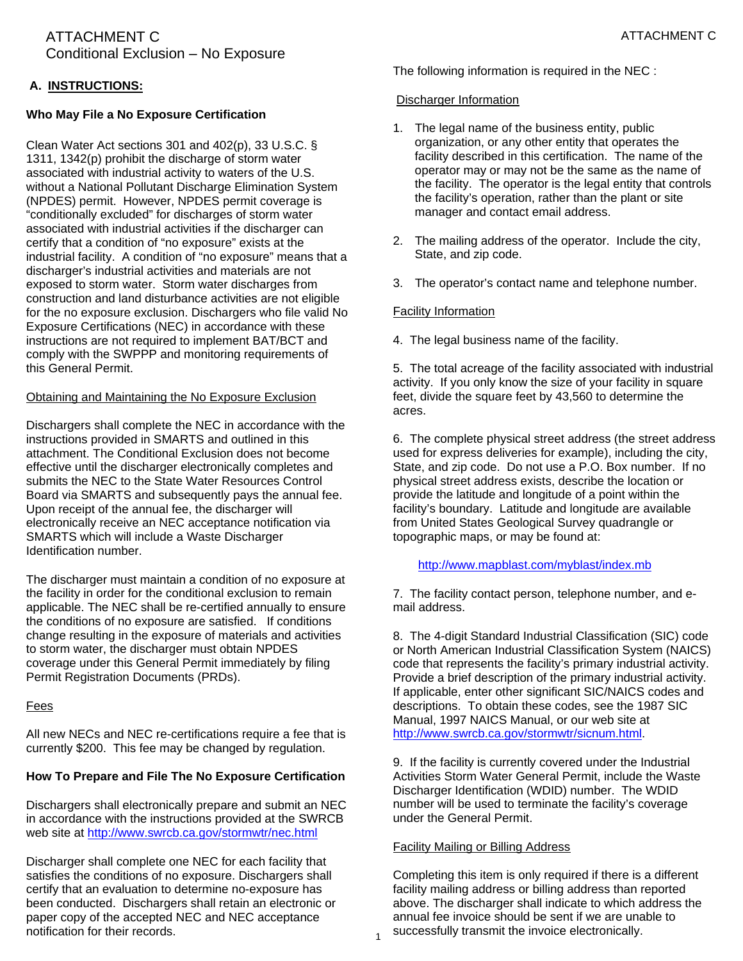# **A. INSTRUCTIONS:**

# **Who May File a No Exposure Certification**

Clean Water Act sections 301 and 402(p), 33 U.S.C. § 1311, 1342(p) prohibit the discharge of storm water associated with industrial activity to waters of the U.S. without a National Pollutant Discharge Elimination System (NPDES) permit. However, NPDES permit coverage is "conditionally excluded" for discharges of storm water associated with industrial activities if the discharger can certify that a condition of "no exposure" exists at the industrial facility. A condition of "no exposure" means that a discharger's industrial activities and materials are not exposed to storm water. Storm water discharges from construction and land disturbance activities are not eligible for the no exposure exclusion. Dischargers who file valid No Exposure Certifications (NEC) in accordance with these instructions are not required to implement BAT/BCT and comply with the SWPPP and monitoring requirements of this General Permit.

# Obtaining and Maintaining the No Exposure Exclusion

Dischargers shall complete the NEC in accordance with the instructions provided in SMARTS and outlined in this attachment. The Conditional Exclusion does not become effective until the discharger electronically completes and submits the NEC to the State Water Resources Control Board via SMARTS and subsequently pays the annual fee. Upon receipt of the annual fee, the discharger will electronically receive an NEC acceptance notification via SMARTS which will include a Waste Discharger Identification number.

The discharger must maintain a condition of no exposure at the facility in order for the conditional exclusion to remain applicable. The NEC shall be re-certified annually to ensure the conditions of no exposure are satisfied. If conditions change resulting in the exposure of materials and activities to storm water, the discharger must obtain NPDES coverage under this General Permit immediately by filing Permit Registration Documents (PRDs).

#### Fees

All new NECs and NEC re-certifications require a fee that is currently \$200. This fee may be changed by regulation.

# **How To Prepare and File The No Exposure Certification**

Dischargers shall electronically prepare and submit an NEC in accordance with the instructions provided at the SWRCB web site at<http://www.swrcb.ca.gov/stormwtr/nec.html>

Discharger shall complete one NEC for each facility that satisfies the conditions of no exposure. Dischargers shall certify that an evaluation to determine no-exposure has been conducted. Dischargers shall retain an electronic or paper copy of the accepted NEC and NEC acceptance notification for their records.

The following information is required in the NEC :

#### Discharger Information

- 1. The legal name of the business entity, public organization, or any other entity that operates the facility described in this certification. The name of the operator may or may not be the same as the name of the facility. The operator is the legal entity that controls the facility's operation, rather than the plant or site manager and contact email address.
- 2. The mailing address of the operator. Include the city, State, and zip code.
- 3. The operator's contact name and telephone number.

# Facility Information

4. The legal business name of the facility.

5. The total acreage of the facility associated with industrial activity. If you only know the size of your facility in square feet, divide the square feet by 43,560 to determine the acres.

6. The complete physical street address (the street address used for express deliveries for example), including the city, State, and zip code. Do not use a P.O. Box number. If no physical street address exists, describe the location or provide the latitude and longitude of a point within the facility's boundary. Latitude and longitude are available from United States Geological Survey quadrangle or topographic maps, or may be found at:

<http://www.mapblast.com/myblast/index.mb>

7. The facility contact person, telephone number, and email address.

8. The 4-digit Standard Industrial Classification (SIC) code or North American Industrial Classification System (NAICS) code that represents the facility's primary industrial activity. Provide a brief description of the primary industrial activity. If applicable, enter other significant SIC/NAICS codes and descriptions. To obtain these codes, see the 1987 SIC Manual, 1997 NAICS Manual, or our web site at <http://www.swrcb.ca.gov/stormwtr/sicnum.html>.

9. If the facility is currently covered under the Industrial Activities Storm Water General Permit, include the Waste Discharger Identification (WDID) number. The WDID number will be used to terminate the facility's coverage under the General Permit.

# Facility Mailing or Billing Address

1

Completing this item is only required if there is a different facility mailing address or billing address than reported above. The discharger shall indicate to which address the annual fee invoice should be sent if we are unable to successfully transmit the invoice electronically.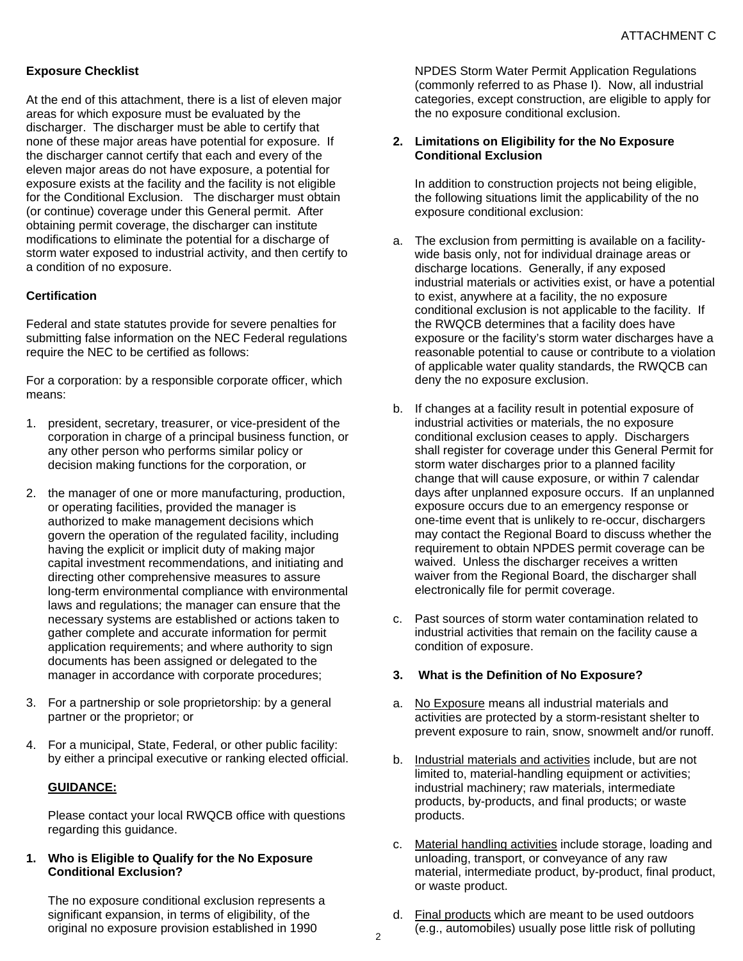# **Exposure Checklist**

At the end of this attachment, there is a list of eleven major areas for which exposure must be evaluated by the discharger. The discharger must be able to certify that none of these major areas have potential for exposure. If the discharger cannot certify that each and every of the eleven major areas do not have exposure, a potential for exposure exists at the facility and the facility is not eligible for the Conditional Exclusion. The discharger must obtain (or continue) coverage under this General permit. After obtaining permit coverage, the discharger can institute modifications to eliminate the potential for a discharge of storm water exposed to industrial activity, and then certify to a condition of no exposure.

#### **Certification**

Federal and state statutes provide for severe penalties for submitting false information on the NEC Federal regulations require the NEC to be certified as follows:

For a corporation: by a responsible corporate officer, which means:

- 1. president, secretary, treasurer, or vice-president of the corporation in charge of a principal business function, or any other person who performs similar policy or decision making functions for the corporation, or
- 2. the manager of one or more manufacturing, production, or operating facilities, provided the manager is authorized to make management decisions which govern the operation of the regulated facility, including having the explicit or implicit duty of making major capital investment recommendations, and initiating and directing other comprehensive measures to assure long-term environmental compliance with environmental laws and regulations; the manager can ensure that the necessary systems are established or actions taken to gather complete and accurate information for permit application requirements; and where authority to sign documents has been assigned or delegated to the manager in accordance with corporate procedures;
- 3. For a partnership or sole proprietorship: by a general partner or the proprietor; or
- 4. For a municipal, State, Federal, or other public facility: by either a principal executive or ranking elected official.

# **GUIDANCE:**

Please contact your local RWQCB office with questions regarding this guidance.

#### **1. Who is Eligible to Qualify for the No Exposure Conditional Exclusion?**

The no exposure conditional exclusion represents a significant expansion, in terms of eligibility, of the original no exposure provision established in 1990

NPDES Storm Water Permit Application Regulations (commonly referred to as Phase I). Now, all industrial categories, except construction, are eligible to apply for the no exposure conditional exclusion.

#### **2. Limitations on Eligibility for the No Exposure Conditional Exclusion**

In addition to construction projects not being eligible, the following situations limit the applicability of the no exposure conditional exclusion:

- a. The exclusion from permitting is available on a facilitywide basis only, not for individual drainage areas or discharge locations. Generally, if any exposed industrial materials or activities exist, or have a potential to exist, anywhere at a facility, the no exposure conditional exclusion is not applicable to the facility. If the RWQCB determines that a facility does have exposure or the facility's storm water discharges have a reasonable potential to cause or contribute to a violation of applicable water quality standards, the RWQCB can deny the no exposure exclusion.
- b. If changes at a facility result in potential exposure of industrial activities or materials, the no exposure conditional exclusion ceases to apply. Dischargers shall register for coverage under this General Permit for storm water discharges prior to a planned facility change that will cause exposure, or within 7 calendar days after unplanned exposure occurs. If an unplanned exposure occurs due to an emergency response or one-time event that is unlikely to re-occur, dischargers may contact the Regional Board to discuss whether the requirement to obtain NPDES permit coverage can be waived. Unless the discharger receives a written waiver from the Regional Board, the discharger shall electronically file for permit coverage.
- c. Past sources of storm water contamination related to industrial activities that remain on the facility cause a condition of exposure.

#### **3. What is the Definition of No Exposure?**

- a. No Exposure means all industrial materials and activities are protected by a storm-resistant shelter to prevent exposure to rain, snow, snowmelt and/or runoff.
- b. Industrial materials and activities include, but are not limited to, material-handling equipment or activities; industrial machinery; raw materials, intermediate products, by-products, and final products; or waste products.
- c. Material handling activities include storage, loading and unloading, transport, or conveyance of any raw material, intermediate product, by-product, final product, or waste product.
- d. Final products which are meant to be used outdoors (e.g., automobiles) usually pose little risk of polluting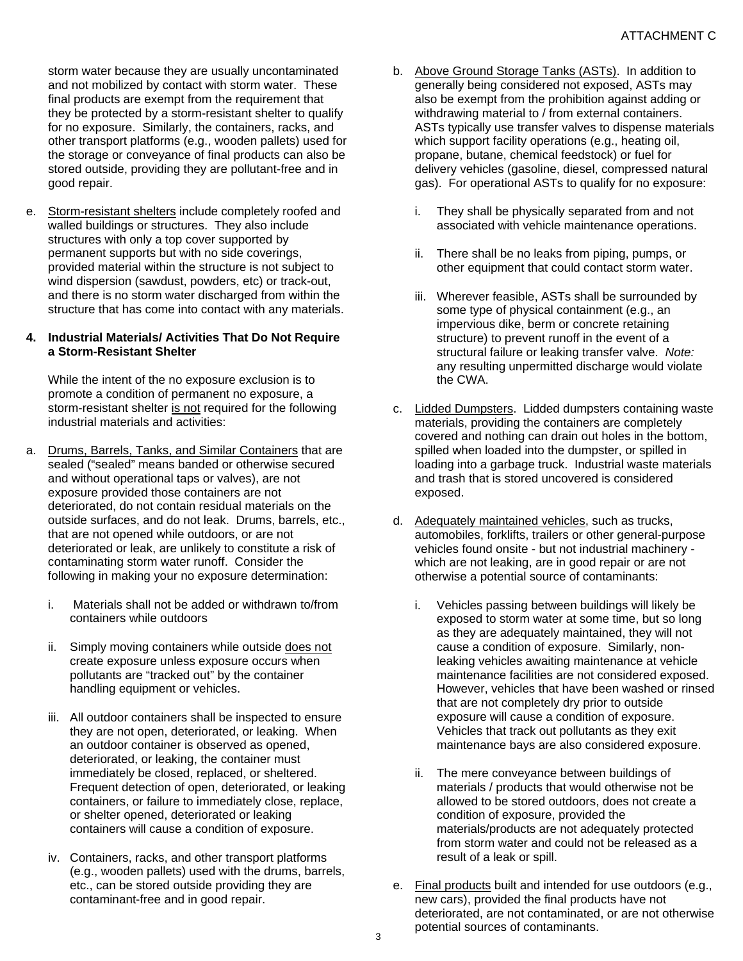storm water because they are usually uncontaminated and not mobilized by contact with storm water. These final products are exempt from the requirement that they be protected by a storm-resistant shelter to qualify for no exposure. Similarly, the containers, racks, and other transport platforms (e.g., wooden pallets) used for the storage or conveyance of final products can also be stored outside, providing they are pollutant-free and in good repair.

e. Storm-resistant shelters include completely roofed and walled buildings or structures. They also include structures with only a top cover supported by permanent supports but with no side coverings, provided material within the structure is not subject to wind dispersion (sawdust, powders, etc) or track-out, and there is no storm water discharged from within the structure that has come into contact with any materials.

# **4. Industrial Materials/ Activities That Do Not Require a Storm-Resistant Shelter**

While the intent of the no exposure exclusion is to promote a condition of permanent no exposure, a storm-resistant shelter is not required for the following industrial materials and activities:

- a. Drums, Barrels, Tanks, and Similar Containers that are sealed ("sealed" means banded or otherwise secured and without operational taps or valves), are not exposure provided those containers are not deteriorated, do not contain residual materials on the outside surfaces, and do not leak. Drums, barrels, etc., that are not opened while outdoors, or are not deteriorated or leak, are unlikely to constitute a risk of contaminating storm water runoff. Consider the following in making your no exposure determination:
	- i. Materials shall not be added or withdrawn to/from containers while outdoors
	- ii. Simply moving containers while outside does not create exposure unless exposure occurs when pollutants are "tracked out" by the container handling equipment or vehicles.
	- iii. All outdoor containers shall be inspected to ensure they are not open, deteriorated, or leaking. When an outdoor container is observed as opened, deteriorated, or leaking, the container must immediately be closed, replaced, or sheltered. Frequent detection of open, deteriorated, or leaking containers, or failure to immediately close, replace, or shelter opened, deteriorated or leaking containers will cause a condition of exposure.
	- iv. Containers, racks, and other transport platforms (e.g., wooden pallets) used with the drums, barrels, etc., can be stored outside providing they are contaminant-free and in good repair.
- b. Above Ground Storage Tanks (ASTs). In addition to generally being considered not exposed, ASTs may also be exempt from the prohibition against adding or withdrawing material to / from external containers. ASTs typically use transfer valves to dispense materials which support facility operations (e.g., heating oil, propane, butane, chemical feedstock) or fuel for delivery vehicles (gasoline, diesel, compressed natural gas). For operational ASTs to qualify for no exposure:
	- i. They shall be physically separated from and not associated with vehicle maintenance operations.
	- ii. There shall be no leaks from piping, pumps, or other equipment that could contact storm water.
	- iii. Wherever feasible, ASTs shall be surrounded by some type of physical containment (e.g., an impervious dike, berm or concrete retaining structure) to prevent runoff in the event of a structural failure or leaking transfer valve. *Note:* any resulting unpermitted discharge would violate the CWA.
- c. Lidded Dumpsters. Lidded dumpsters containing waste materials, providing the containers are completely covered and nothing can drain out holes in the bottom, spilled when loaded into the dumpster, or spilled in loading into a garbage truck. Industrial waste materials and trash that is stored uncovered is considered exposed.
- d. Adequately maintained vehicles, such as trucks, automobiles, forklifts, trailers or other general-purpose vehicles found onsite - but not industrial machinery which are not leaking, are in good repair or are not otherwise a potential source of contaminants:
	- i. Vehicles passing between buildings will likely be exposed to storm water at some time, but so long as they are adequately maintained, they will not cause a condition of exposure. Similarly, nonleaking vehicles awaiting maintenance at vehicle maintenance facilities are not considered exposed. However, vehicles that have been washed or rinsed that are not completely dry prior to outside exposure will cause a condition of exposure. Vehicles that track out pollutants as they exit maintenance bays are also considered exposure.
	- ii. The mere conveyance between buildings of materials / products that would otherwise not be allowed to be stored outdoors, does not create a condition of exposure, provided the materials/products are not adequately protected from storm water and could not be released as a result of a leak or spill.
- e. Final products built and intended for use outdoors (e.g., new cars), provided the final products have not deteriorated, are not contaminated, or are not otherwise potential sources of contaminants.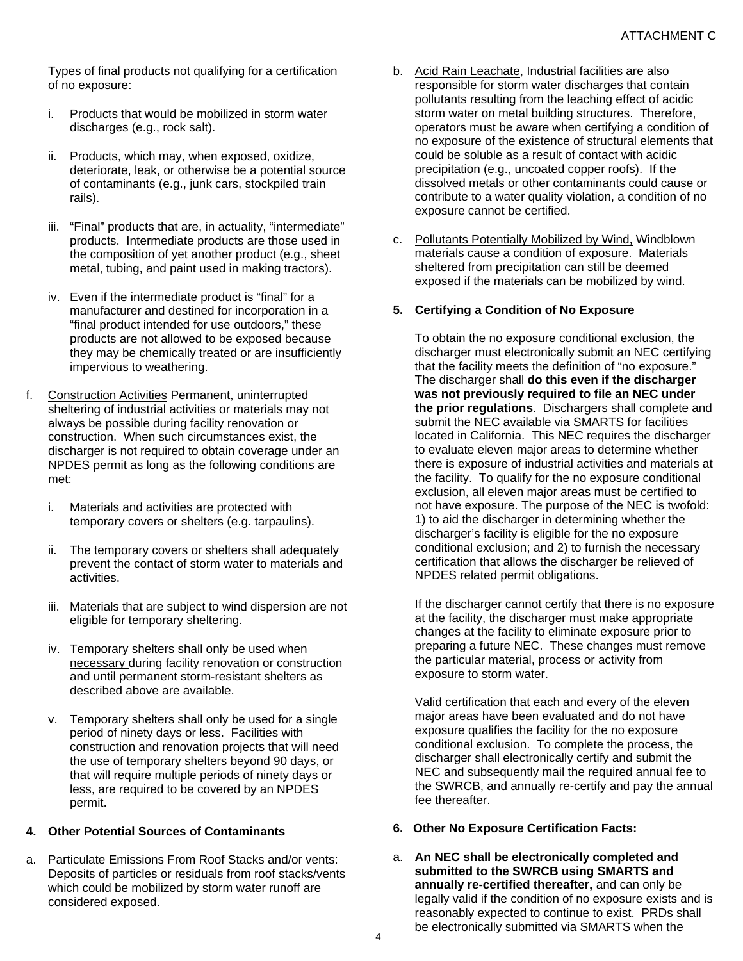Types of final products not qualifying for a certification of no exposure:

- i. Products that would be mobilized in storm water discharges (e.g., rock salt).
- ii. Products, which may, when exposed, oxidize, deteriorate, leak, or otherwise be a potential source of contaminants (e.g., junk cars, stockpiled train rails).
- iii. "Final" products that are, in actuality, "intermediate" products. Intermediate products are those used in the composition of yet another product (e.g., sheet metal, tubing, and paint used in making tractors).
- iv. Even if the intermediate product is "final" for a manufacturer and destined for incorporation in a "final product intended for use outdoors," these products are not allowed to be exposed because they may be chemically treated or are insufficiently impervious to weathering.
- f. Construction Activities Permanent, uninterrupted sheltering of industrial activities or materials may not always be possible during facility renovation or construction. When such circumstances exist, the discharger is not required to obtain coverage under an NPDES permit as long as the following conditions are met:
	- i. Materials and activities are protected with temporary covers or shelters (e.g. tarpaulins).
	- ii. The temporary covers or shelters shall adequately prevent the contact of storm water to materials and activities.
	- iii. Materials that are subject to wind dispersion are not eligible for temporary sheltering.
	- iv. Temporary shelters shall only be used when necessary during facility renovation or construction and until permanent storm-resistant shelters as described above are available.
	- v. Temporary shelters shall only be used for a single period of ninety days or less. Facilities with construction and renovation projects that will need the use of temporary shelters beyond 90 days, or that will require multiple periods of ninety days or less, are required to be covered by an NPDES permit.

# **4. Other Potential Sources of Contaminants**

a. Particulate Emissions From Roof Stacks and/or vents: Deposits of particles or residuals from roof stacks/vents which could be mobilized by storm water runoff are considered exposed.

- b. Acid Rain Leachate, Industrial facilities are also responsible for storm water discharges that contain pollutants resulting from the leaching effect of acidic storm water on metal building structures. Therefore, operators must be aware when certifying a condition of no exposure of the existence of structural elements that could be soluble as a result of contact with acidic precipitation (e.g., uncoated copper roofs). If the dissolved metals or other contaminants could cause or contribute to a water quality violation, a condition of no exposure cannot be certified.
- c. Pollutants Potentially Mobilized by Wind, Windblown materials cause a condition of exposure. Materials sheltered from precipitation can still be deemed exposed if the materials can be mobilized by wind.

# **5. Certifying a Condition of No Exposure**

To obtain the no exposure conditional exclusion, the discharger must electronically submit an NEC certifying that the facility meets the definition of "no exposure." The discharger shall **do this even if the discharger was not previously required to file an NEC under the prior regulations**. Dischargers shall complete and submit the NEC available via SMARTS for facilities located in California. This NEC requires the discharger to evaluate eleven major areas to determine whether there is exposure of industrial activities and materials at the facility. To qualify for the no exposure conditional exclusion, all eleven major areas must be certified to not have exposure. The purpose of the NEC is twofold: 1) to aid the discharger in determining whether the discharger's facility is eligible for the no exposure conditional exclusion; and 2) to furnish the necessary certification that allows the discharger be relieved of NPDES related permit obligations.

If the discharger cannot certify that there is no exposure at the facility, the discharger must make appropriate changes at the facility to eliminate exposure prior to preparing a future NEC. These changes must remove the particular material, process or activity from exposure to storm water.

Valid certification that each and every of the eleven major areas have been evaluated and do not have exposure qualifies the facility for the no exposure conditional exclusion. To complete the process, the discharger shall electronically certify and submit the NEC and subsequently mail the required annual fee to the SWRCB, and annually re-certify and pay the annual fee thereafter.

- **6. Other No Exposure Certification Facts:**
- a. **An NEC shall be electronically completed and submitted to the SWRCB using SMARTS and annually re-certified thereafter,** and can only be legally valid if the condition of no exposure exists and is reasonably expected to continue to exist. PRDs shall be electronically submitted via SMARTS when the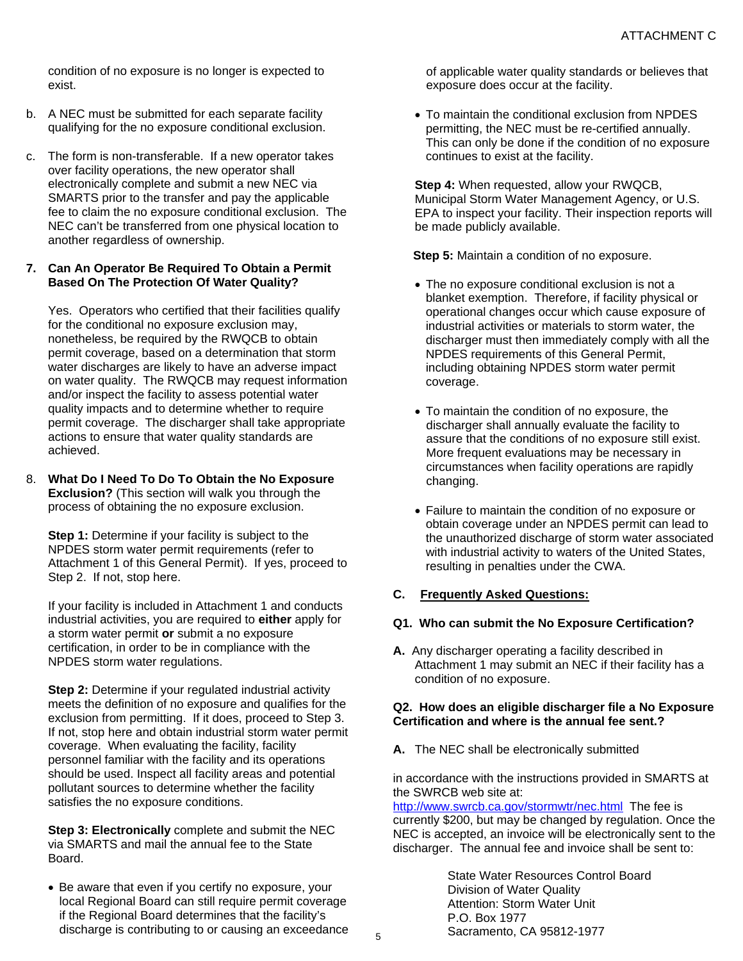condition of no exposure is no longer is expected to exist.

- b. A NEC must be submitted for each separate facility qualifying for the no exposure conditional exclusion.
- c. The form is non-transferable. If a new operator takes over facility operations, the new operator shall electronically complete and submit a new NEC via SMARTS prior to the transfer and pay the applicable fee to claim the no exposure conditional exclusion. The NEC can't be transferred from one physical location to another regardless of ownership.

#### **7. Can An Operator Be Required To Obtain a Permit Based On The Protection Of Water Quality?**

Yes. Operators who certified that their facilities qualify for the conditional no exposure exclusion may, nonetheless, be required by the RWQCB to obtain permit coverage, based on a determination that storm water discharges are likely to have an adverse impact on water quality. The RWQCB may request information and/or inspect the facility to assess potential water quality impacts and to determine whether to require permit coverage. The discharger shall take appropriate actions to ensure that water quality standards are achieved.

8. **What Do I Need To Do To Obtain the No Exposure Exclusion?** (This section will walk you through the process of obtaining the no exposure exclusion.

**Step 1:** Determine if your facility is subject to the NPDES storm water permit requirements (refer to Attachment 1 of this General Permit). If yes, proceed to Step 2. If not, stop here.

If your facility is included in Attachment 1 and conducts industrial activities, you are required to **either** apply for a storm water permit **or** submit a no exposure certification, in order to be in compliance with the NPDES storm water regulations.

**Step 2:** Determine if your regulated industrial activity meets the definition of no exposure and qualifies for the exclusion from permitting. If it does, proceed to Step 3. If not, stop here and obtain industrial storm water permit coverage. When evaluating the facility, facility personnel familiar with the facility and its operations should be used. Inspect all facility areas and potential pollutant sources to determine whether the facility satisfies the no exposure conditions.

**Step 3: Electronically** complete and submit the NEC via SMARTS and mail the annual fee to the State Board.

 Be aware that even if you certify no exposure, your local Regional Board can still require permit coverage if the Regional Board determines that the facility's discharge is contributing to or causing an exceedance of applicable water quality standards or believes that exposure does occur at the facility.

 To maintain the conditional exclusion from NPDES permitting, the NEC must be re-certified annually. This can only be done if the condition of no exposure continues to exist at the facility.

**Step 4:** When requested, allow your RWQCB, Municipal Storm Water Management Agency, or U.S. EPA to inspect your facility. Their inspection reports will be made publicly available.

 **Step 5:** Maintain a condition of no exposure.

- The no exposure conditional exclusion is not a blanket exemption. Therefore, if facility physical or operational changes occur which cause exposure of industrial activities or materials to storm water, the discharger must then immediately comply with all the NPDES requirements of this General Permit, including obtaining NPDES storm water permit coverage.
- To maintain the condition of no exposure, the discharger shall annually evaluate the facility to assure that the conditions of no exposure still exist. More frequent evaluations may be necessary in circumstances when facility operations are rapidly changing.
- Failure to maintain the condition of no exposure or obtain coverage under an NPDES permit can lead to the unauthorized discharge of storm water associated with industrial activity to waters of the United States, resulting in penalties under the CWA.

# **C. Frequently Asked Questions:**

# **Q1. Who can submit the No Exposure Certification?**

**A.** Any discharger operating a facility described in Attachment 1 may submit an NEC if their facility has a condition of no exposure.

#### **Q2. How does an eligible discharger file a No Exposure Certification and where is the annual fee sent.?**

**A.** The NEC shall be electronically submitted

in accordance with the instructions provided in SMARTS at the SWRCB web site at:

<http://www.swrcb.ca.gov/stormwtr/nec.html>The fee is currently \$200, but may be changed by regulation. Once the NEC is accepted, an invoice will be electronically sent to the discharger. The annual fee and invoice shall be sent to:

> State Water Resources Control Board Division of Water Quality Attention: Storm Water Unit P.O. Box 1977 Sacramento, CA 95812-1977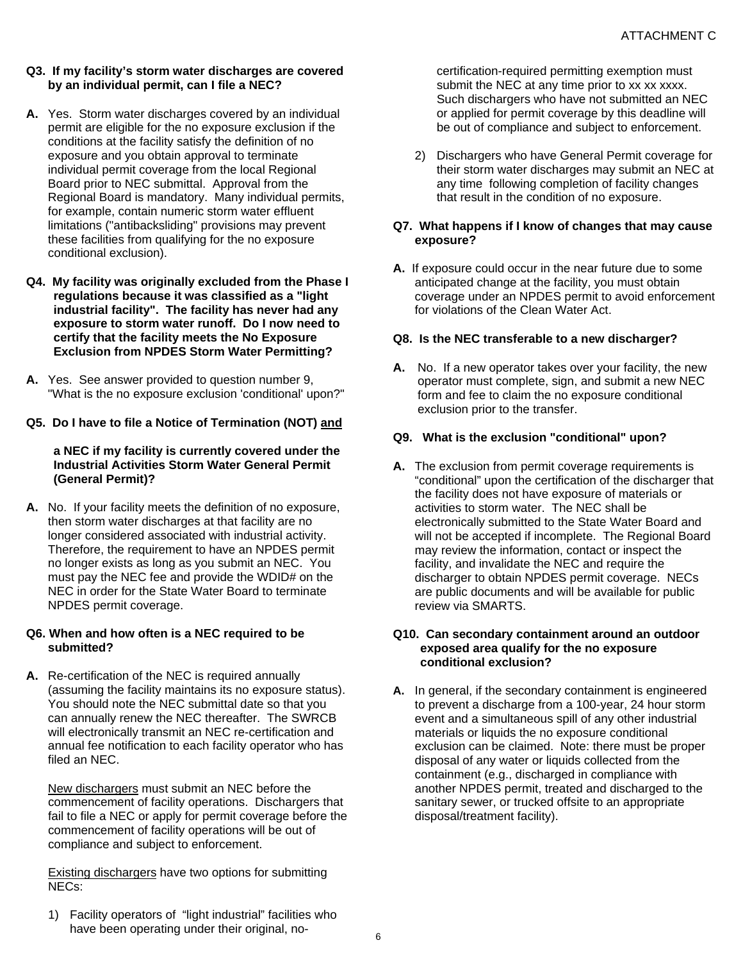- **Q3. If my facility's storm water discharges are covered by an individual permit, can I file a NEC?**
- **A.** Yes. Storm water discharges covered by an individual permit are eligible for the no exposure exclusion if the conditions at the facility satisfy the definition of no exposure and you obtain approval to terminate individual permit coverage from the local Regional Board prior to NEC submittal. Approval from the Regional Board is mandatory. Many individual permits, for example, contain numeric storm water effluent limitations ("antibacksliding" provisions may prevent these facilities from qualifying for the no exposure conditional exclusion).
- **Q4. My facility was originally excluded from the Phase I regulations because it was classified as a "light industrial facility". The facility has never had any exposure to storm water runoff. Do I now need to certify that the facility meets the No Exposure Exclusion from NPDES Storm Water Permitting?**
- **A.** Yes. See answer provided to question number 9, "What is the no exposure exclusion 'conditional' upon?"

# **Q5. Do I have to file a Notice of Termination (NOT) and**

#### **a NEC if my facility is currently covered under the Industrial Activities Storm Water General Permit (General Permit)?**

**A.** No. If your facility meets the definition of no exposure, then storm water discharges at that facility are no longer considered associated with industrial activity. Therefore, the requirement to have an NPDES permit no longer exists as long as you submit an NEC. You must pay the NEC fee and provide the WDID# on the NEC in order for the State Water Board to terminate NPDES permit coverage.

#### **Q6. When and how often is a NEC required to be submitted?**

**A.** Re-certification of the NEC is required annually (assuming the facility maintains its no exposure status). You should note the NEC submittal date so that you can annually renew the NEC thereafter. The SWRCB will electronically transmit an NEC re-certification and annual fee notification to each facility operator who has filed an NEC.

New dischargers must submit an NEC before the commencement of facility operations. Dischargers that fail to file a NEC or apply for permit coverage before the commencement of facility operations will be out of compliance and subject to enforcement.

Existing dischargers have two options for submitting NECs:

certification-required permitting exemption must submit the NEC at any time prior to xx xx xxxx. Such dischargers who have not submitted an NEC or applied for permit coverage by this deadline will be out of compliance and subject to enforcement.

2) Dischargers who have General Permit coverage for their storm water discharges may submit an NEC at any time following completion of facility changes that result in the condition of no exposure.

#### **Q7. What happens if I know of changes that may cause exposure?**

**A.** If exposure could occur in the near future due to some anticipated change at the facility, you must obtain coverage under an NPDES permit to avoid enforcement for violations of the Clean Water Act.

#### **Q8. Is the NEC transferable to a new discharger?**

**A.** No. If a new operator takes over your facility, the new operator must complete, sign, and submit a new NEC form and fee to claim the no exposure conditional exclusion prior to the transfer.

#### **Q9. What is the exclusion "conditional" upon?**

**A.** The exclusion from permit coverage requirements is "conditional" upon the certification of the discharger that the facility does not have exposure of materials or activities to storm water. The NEC shall be electronically submitted to the State Water Board and will not be accepted if incomplete. The Regional Board may review the information, contact or inspect the facility, and invalidate the NEC and require the discharger to obtain NPDES permit coverage. NECs are public documents and will be available for public review via SMARTS.

#### **Q10. Can secondary containment around an outdoor exposed area qualify for the no exposure conditional exclusion?**

**A.** In general, if the secondary containment is engineered to prevent a discharge from a 100-year, 24 hour storm event and a simultaneous spill of any other industrial materials or liquids the no exposure conditional exclusion can be claimed. Note: there must be proper disposal of any water or liquids collected from the containment (e.g., discharged in compliance with another NPDES permit, treated and discharged to the sanitary sewer, or trucked offsite to an appropriate disposal/treatment facility).

1) Facility operators of "light industrial" facilities who have been operating under their original, no-